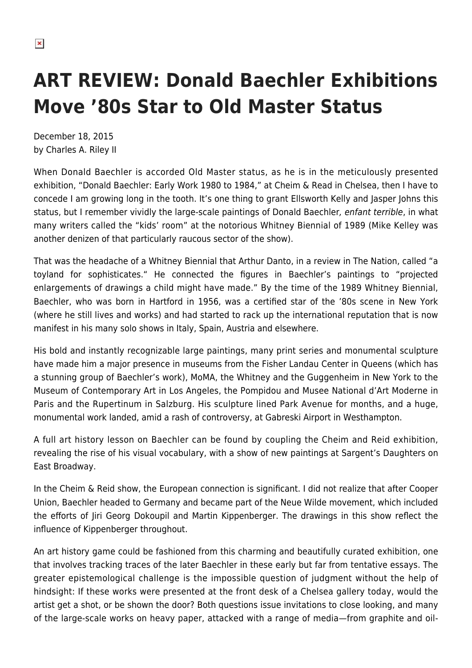## **ART REVIEW: Donald Baechler Exhibitions Move '80s Star to Old Master Status**

December 18, 2015 by Charles A. Riley II

When Donald Baechler is accorded Old Master status, as he is in the meticulously presented exhibition, "Donald Baechler: Early Work 1980 to 1984," at Cheim & Read in Chelsea, then I have to concede I am growing long in the tooth. It's one thing to grant Ellsworth Kelly and Jasper Johns this status, but I remember vividly the large-scale paintings of Donald Baechler, enfant terrible, in what many writers called the "kids' room" at the notorious Whitney Biennial of 1989 (Mike Kelley was another denizen of that particularly raucous sector of the show).

That was the headache of a Whitney Biennial that Arthur Danto, in a review in The Nation, called "a toyland for sophisticates." He connected the figures in Baechler's paintings to "projected enlargements of drawings a child might have made." By the time of the 1989 Whitney Biennial, Baechler, who was born in Hartford in 1956, was a certified star of the '80s scene in New York (where he still lives and works) and had started to rack up the international reputation that is now manifest in his many solo shows in Italy, Spain, Austria and elsewhere.

His bold and instantly recognizable large paintings, many print series and monumental sculpture have made him a major presence in museums from the Fisher Landau Center in Queens (which has a stunning group of Baechler's work), MoMA, the Whitney and the Guggenheim in New York to the Museum of Contemporary Art in Los Angeles, the Pompidou and Musee National d'Art Moderne in Paris and the Rupertinum in Salzburg. His sculpture lined Park Avenue for months, and a huge, monumental work landed, amid a rash of controversy, at Gabreski Airport in Westhampton.

A full art history lesson on Baechler can be found by coupling the Cheim and Reid exhibition, revealing the rise of his visual vocabulary, with a show of new paintings at Sargent's Daughters on East Broadway.

In the Cheim & Reid show, the European connection is significant. I did not realize that after Cooper Union, Baechler headed to Germany and became part of the Neue Wilde movement, which included the efforts of Jiri Georg Dokoupil and Martin Kippenberger. The drawings in this show reflect the influence of Kippenberger throughout.

An art history game could be fashioned from this charming and beautifully curated exhibition, one that involves tracking traces of the later Baechler in these early but far from tentative essays. The greater epistemological challenge is the impossible question of judgment without the help of hindsight: If these works were presented at the front desk of a Chelsea gallery today, would the artist get a shot, or be shown the door? Both questions issue invitations to close looking, and many of the large-scale works on heavy paper, attacked with a range of media—from graphite and oil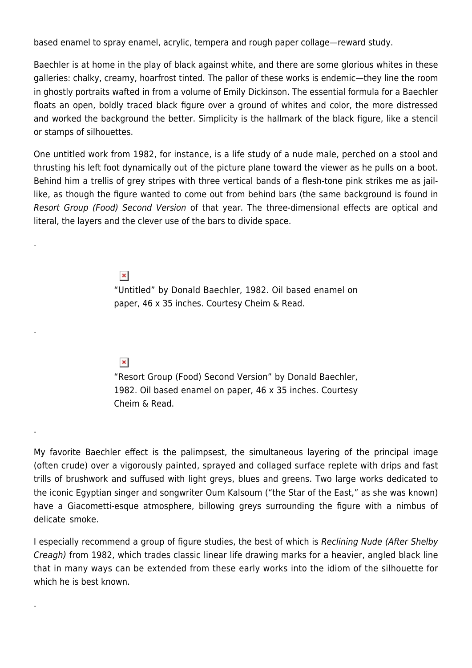based enamel to spray enamel, acrylic, tempera and rough paper collage—reward study.

Baechler is at home in the play of black against white, and there are some glorious whites in these galleries: chalky, creamy, hoarfrost tinted. The pallor of these works is endemic—they line the room in ghostly portraits wafted in from a volume of Emily Dickinson. The essential formula for a Baechler floats an open, boldly traced black figure over a ground of whites and color, the more distressed and worked the background the better. Simplicity is the hallmark of the black figure, like a stencil or stamps of silhouettes.

One untitled work from 1982, for instance, is a life study of a nude male, perched on a stool and thrusting his left foot dynamically out of the picture plane toward the viewer as he pulls on a boot. Behind him a trellis of grey stripes with three vertical bands of a flesh-tone pink strikes me as jaillike, as though the figure wanted to come out from behind bars (the same background is found in Resort Group (Food) Second Version of that year. The three-dimensional effects are optical and literal, the layers and the clever use of the bars to divide space.

> $\pmb{\times}$ "Untitled" by Donald Baechler, 1982. Oil based enamel on paper, 46 x 35 inches. Courtesy Cheim & Read.

## $\pmb{\times}$

.

.

.

.

"Resort Group (Food) Second Version" by Donald Baechler, 1982. Oil based enamel on paper, 46 x 35 inches. Courtesy Cheim & Read.

My favorite Baechler effect is the palimpsest, the simultaneous layering of the principal image (often crude) over a vigorously painted, sprayed and collaged surface replete with drips and fast trills of brushwork and suffused with light greys, blues and greens. Two large works dedicated to the iconic Egyptian singer and songwriter Oum Kalsoum ("the Star of the East," as she was known) have a Giacometti-esque atmosphere, billowing greys surrounding the figure with a nimbus of delicate smoke.

I especially recommend a group of figure studies, the best of which is Reclining Nude (After Shelby Creagh) from 1982, which trades classic linear life drawing marks for a heavier, angled black line that in many ways can be extended from these early works into the idiom of the silhouette for which he is hest known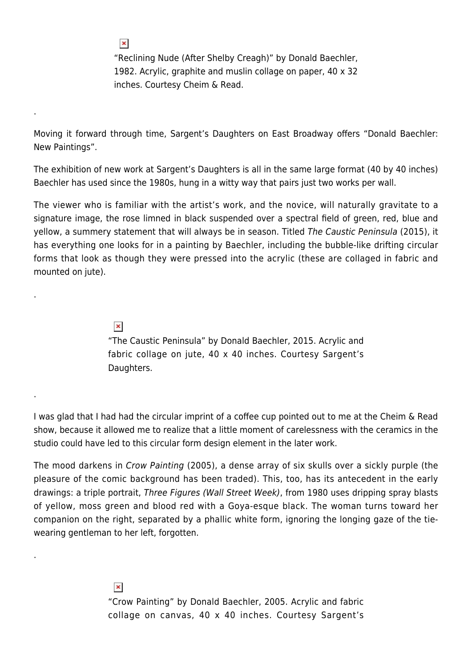"Reclining Nude (After Shelby Creagh)" by Donald Baechler, 1982. Acrylic, graphite and muslin collage on paper, 40 x 32 inches. Courtesy Cheim & Read.

Moving it forward through time, Sargent's Daughters on East Broadway offers "Donald Baechler: New Paintings".

The exhibition of new work at Sargent's Daughters is all in the same large format (40 by 40 inches) Baechler has used since the 1980s, hung in a witty way that pairs just two works per wall.

The viewer who is familiar with the artist's work, and the novice, will naturally gravitate to a signature image, the rose limned in black suspended over a spectral field of green, red, blue and yellow, a summery statement that will always be in season. Titled The Caustic Peninsula (2015), it has everything one looks for in a painting by Baechler, including the bubble-like drifting circular forms that look as though they were pressed into the acrylic (these are collaged in fabric and mounted on jute).

 $\pmb{\times}$ 

"The Caustic Peninsula" by Donald Baechler, 2015. Acrylic and fabric collage on jute, 40 x 40 inches. Courtesy Sargent's Daughters.

I was glad that I had had the circular imprint of a coffee cup pointed out to me at the Cheim & Read show, because it allowed me to realize that a little moment of carelessness with the ceramics in the studio could have led to this circular form design element in the later work.

The mood darkens in Crow Painting (2005), a dense array of six skulls over a sickly purple (the pleasure of the comic background has been traded). This, too, has its antecedent in the early drawings: a triple portrait, Three Figures (Wall Street Week), from 1980 uses dripping spray blasts of yellow, moss green and blood red with a Goya-esque black. The woman turns toward her companion on the right, separated by a phallic white form, ignoring the longing gaze of the tiewearing gentleman to her left, forgotten.

> $\pmb{\times}$ "Crow Painting" by Donald Baechler, 2005. Acrylic and fabric collage on canvas, 40 x 40 inches. Courtesy Sargent's

 $\pmb{\times}$ 

.

.

.

.